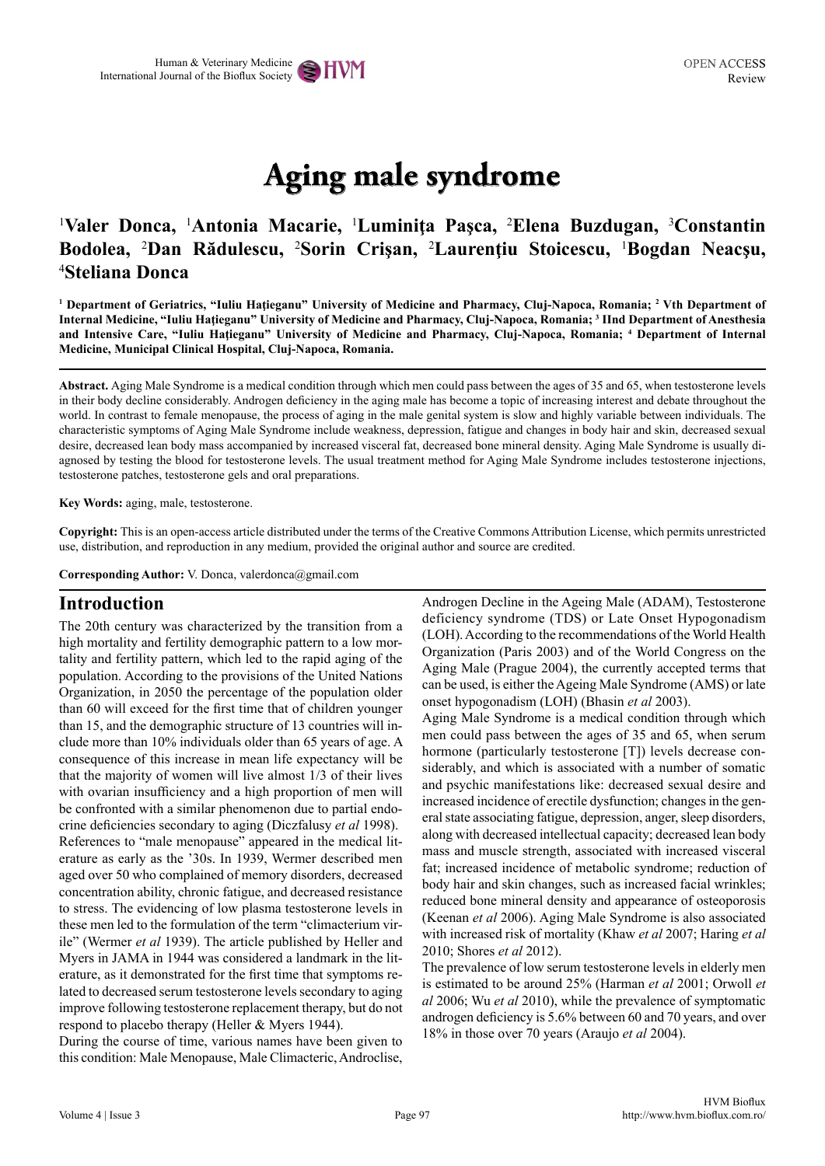# **Aging male syndrome**

# <sup>1</sup>Valer Donca, <sup>1</sup>Antonia Macarie, <sup>1</sup>Luminița Pașca, <sup>2</sup>Elena Buzdugan, <sup>3</sup>Constantin **Bodolea,** <sup>2</sup> **Dan Rădulescu,** <sup>2</sup> **Sorin Crişan,** <sup>2</sup> **Laurenţiu Stoicescu,** <sup>1</sup> **Bogdan Neacşu,**  4 **Steliana Donca**

**1 Department of Geriatrics, "Iuliu Haţieganu" University of Medicine and Pharmacy, Cluj-Napoca, Romania; <sup>2</sup> Vth Department of Internal Medicine, "Iuliu Haţieganu" University of Medicine and Pharmacy, Cluj-Napoca, Romania; <sup>3</sup> IInd Department of Anesthesia and Intensive Care, "Iuliu Haţieganu" University of Medicine and Pharmacy, Cluj-Napoca, Romania; <sup>4</sup> Department of Internal Medicine, Municipal Clinical Hospital, Cluj-Napoca, Romania.**

**Abstract.** Aging Male Syndrome is a medical condition through which men could pass between the ages of 35 and 65, when testosterone levels in their body decline considerably. Androgen deficiency in the aging male has become a topic of increasing interest and debate throughout the world. In contrast to female menopause, the process of aging in the male genital system is slow and highly variable between individuals. The characteristic symptoms of Aging Male Syndrome include weakness, depression, fatigue and changes in body hair and skin, decreased sexual desire, decreased lean body mass accompanied by increased visceral fat, decreased bone mineral density. Aging Male Syndrome is usually diagnosed by testing the blood for testosterone levels. The usual treatment method for Aging Male Syndrome includes testosterone injections, testosterone patches, testosterone gels and oral preparations.

**Key Words:** aging, male, testosterone.

**Copyright:** This is an open-access article distributed under the terms of the Creative Commons Attribution License, which permits unrestricted use, distribution, and reproduction in any medium, provided the original author and source are credited.

**Corresponding Author:** V. Donca, valerdonca@gmail.com

#### **Introduction**

The 20th century was characterized by the transition from a high mortality and fertility demographic pattern to a low mortality and fertility pattern, which led to the rapid aging of the population. According to the provisions of the United Nations Organization, in 2050 the percentage of the population older than 60 will exceed for the first time that of children younger than 15, and the demographic structure of 13 countries will include more than 10% individuals older than 65 years of age. A consequence of this increase in mean life expectancy will be that the majority of women will live almost 1/3 of their lives with ovarian insufficiency and a high proportion of men will be confronted with a similar phenomenon due to partial endocrine deficiencies secondary to aging (Diczfalusy *et al* 1998). References to "male menopause" appeared in the medical literature as early as the '30s. In 1939, Wermer described men aged over 50 who complained of memory disorders, decreased concentration ability, chronic fatigue, and decreased resistance to stress. The evidencing of low plasma testosterone levels in these men led to the formulation of the term "climacterium virile" (Wermer *et al* 1939). The article published by Heller and Myers in JAMA in 1944 was considered a landmark in the literature, as it demonstrated for the first time that symptoms related to decreased serum testosterone levels secondary to aging improve following testosterone replacement therapy, but do not respond to placebo therapy (Heller & Myers 1944).

During the course of time, various names have been given to this condition: Male Menopause, Male Climacteric, Androclise, Androgen Decline in the Ageing Male (ADAM), Testosterone deficiency syndrome (TDS) or Late Onset Hypogonadism (LOH). According to the recommendations of the World Health Organization (Paris 2003) and of the World Congress on the Aging Male (Prague 2004), the currently accepted terms that can be used, is either the Ageing Male Syndrome (AMS) or late onset hypogonadism (LOH) (Bhasin *et al* 2003).

Aging Male Syndrome is a medical condition through which men could pass between the ages of 35 and 65, when serum hormone (particularly testosterone [T]) levels decrease considerably, and which is associated with a number of somatic and psychic manifestations like: decreased sexual desire and increased incidence of erectile dysfunction; changes in the general state associating fatigue, depression, anger, sleep disorders, along with decreased intellectual capacity; decreased lean body mass and muscle strength, associated with increased visceral fat; increased incidence of metabolic syndrome; reduction of body hair and skin changes, such as increased facial wrinkles; reduced bone mineral density and appearance of osteoporosis (Keenan *et al* 2006). Aging Male Syndrome is also associated with increased risk of mortality (Khaw *et al* 2007; Haring *et al* 2010; Shores *et al* 2012).

The prevalence of low serum testosterone levels in elderly men is estimated to be around 25% (Harman *et al* 2001; Orwoll *et al* 2006; Wu *et al* 2010), while the prevalence of symptomatic androgen deficiency is 5.6% between 60 and 70 years, and over 18% in those over 70 years (Araujo *et al* 2004).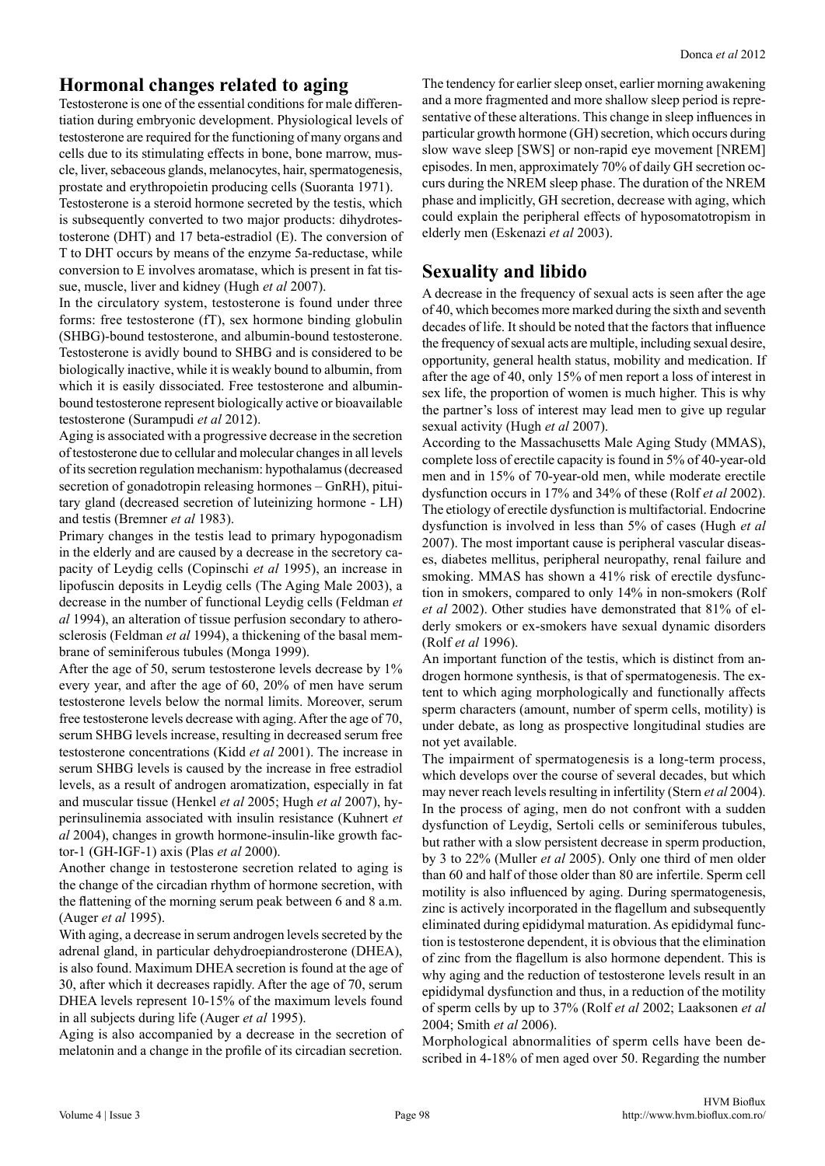### **Hormonal changes related to aging**

Testosterone is one of the essential conditions for male differentiation during embryonic development. Physiological levels of testosterone are required for the functioning of many organs and cells due to its stimulating effects in bone, bone marrow, muscle, liver, sebaceous glands, melanocytes, hair, spermatogenesis, prostate and erythropoietin producing cells (Suoranta 1971). Testosterone is a steroid hormone secreted by the testis, which is subsequently converted to two major products: dihydrotestosterone (DHT) and 17 beta-estradiol (E). The conversion of T to DHT occurs by means of the enzyme 5a-reductase, while

conversion to E involves aromatase, which is present in fat tissue, muscle, liver and kidney (Hugh *et al* 2007). In the circulatory system, testosterone is found under three forms: free testosterone (fT), sex hormone binding globulin (SHBG)-bound testosterone, and albumin-bound testosterone. Testosterone is avidly bound to SHBG and is considered to be

biologically inactive, while it is weakly bound to albumin, from which it is easily dissociated. Free testosterone and albuminbound testosterone represent biologically active or bioavailable testosterone (Surampudi *et al* 2012).

Aging is associated with a progressive decrease in the secretion of testosterone due to cellular and molecular changes in all levels of its secretion regulation mechanism: hypothalamus (decreased secretion of gonadotropin releasing hormones – GnRH), pituitary gland (decreased secretion of luteinizing hormone - LH) and testis (Bremner *et al* 1983).

Primary changes in the testis lead to primary hypogonadism in the elderly and are caused by a decrease in the secretory capacity of Leydig cells (Copinschi *et al* 1995), an increase in lipofuscin deposits in Leydig cells (The Aging Male 2003), a decrease in the number of functional Leydig cells (Feldman *et al* 1994), an alteration of tissue perfusion secondary to atherosclerosis (Feldman *et al* 1994), a thickening of the basal membrane of seminiferous tubules (Monga 1999).

After the age of 50, serum testosterone levels decrease by 1% every year, and after the age of 60, 20% of men have serum testosterone levels below the normal limits. Moreover, serum free testosterone levels decrease with aging. After the age of 70, serum SHBG levels increase, resulting in decreased serum free testosterone concentrations (Kidd *et al* 2001). The increase in serum SHBG levels is caused by the increase in free estradiol levels, as a result of androgen aromatization, especially in fat and muscular tissue (Henkel *et al* 2005; Hugh *et al* 2007), hyperinsulinemia associated with insulin resistance (Kuhnert *et al* 2004), changes in growth hormone-insulin-like growth factor-1 (GH-IGF-1) axis (Plas *et al* 2000).

Another change in testosterone secretion related to aging is the change of the circadian rhythm of hormone secretion, with the flattening of the morning serum peak between 6 and 8 a.m. (Auger *et al* 1995).

With aging, a decrease in serum androgen levels secreted by the adrenal gland, in particular dehydroepiandrosterone (DHEA), is also found. Maximum DHEA secretion is found at the age of 30, after which it decreases rapidly. After the age of 70, serum DHEA levels represent 10-15% of the maximum levels found in all subjects during life (Auger *et al* 1995).

Aging is also accompanied by a decrease in the secretion of melatonin and a change in the profile of its circadian secretion.

The tendency for earlier sleep onset, earlier morning awakening and a more fragmented and more shallow sleep period is representative of these alterations. This change in sleep influences in particular growth hormone (GH) secretion, which occurs during slow wave sleep [SWS] or non-rapid eye movement [NREM] episodes. In men, approximately 70% of daily GH secretion occurs during the NREM sleep phase. The duration of the NREM phase and implicitly, GH secretion, decrease with aging, which could explain the peripheral effects of hyposomatotropism in elderly men (Eskenazi *et al* 2003).

## **Sexuality and libido**

A decrease in the frequency of sexual acts is seen after the age of 40, which becomes more marked during the sixth and seventh decades of life. It should be noted that the factors that influence the frequency of sexual acts are multiple, including sexual desire, opportunity, general health status, mobility and medication. If after the age of 40, only 15% of men report a loss of interest in sex life, the proportion of women is much higher. This is why the partner's loss of interest may lead men to give up regular sexual activity (Hugh *et al* 2007).

According to the Massachusetts Male Aging Study (MMAS), complete loss of erectile capacity is found in 5% of 40-year-old men and in 15% of 70-year-old men, while moderate erectile dysfunction occurs in 17% and 34% of these (Rolf *et al* 2002). The etiology of erectile dysfunction is multifactorial. Endocrine dysfunction is involved in less than 5% of cases (Hugh *et al* 2007). The most important cause is peripheral vascular diseases, diabetes mellitus, peripheral neuropathy, renal failure and smoking. MMAS has shown a 41% risk of erectile dysfunction in smokers, compared to only 14% in non-smokers (Rolf *et al* 2002). Other studies have demonstrated that 81% of elderly smokers or ex-smokers have sexual dynamic disorders (Rolf *et al* 1996).

An important function of the testis, which is distinct from androgen hormone synthesis, is that of spermatogenesis. The extent to which aging morphologically and functionally affects sperm characters (amount, number of sperm cells, motility) is under debate, as long as prospective longitudinal studies are not yet available.

The impairment of spermatogenesis is a long-term process, which develops over the course of several decades, but which may never reach levels resulting in infertility (Stern *et al* 2004). In the process of aging, men do not confront with a sudden dysfunction of Leydig, Sertoli cells or seminiferous tubules, but rather with a slow persistent decrease in sperm production, by 3 to 22% (Muller *et al* 2005). Only one third of men older than 60 and half of those older than 80 are infertile. Sperm cell motility is also influenced by aging. During spermatogenesis, zinc is actively incorporated in the flagellum and subsequently eliminated during epididymal maturation. As epididymal function is testosterone dependent, it is obvious that the elimination of zinc from the flagellum is also hormone dependent. This is why aging and the reduction of testosterone levels result in an epididymal dysfunction and thus, in a reduction of the motility of sperm cells by up to 37% (Rolf *et al* 2002; Laaksonen *et al* 2004; Smith *et al* 2006).

Morphological abnormalities of sperm cells have been described in 4-18% of men aged over 50. Regarding the number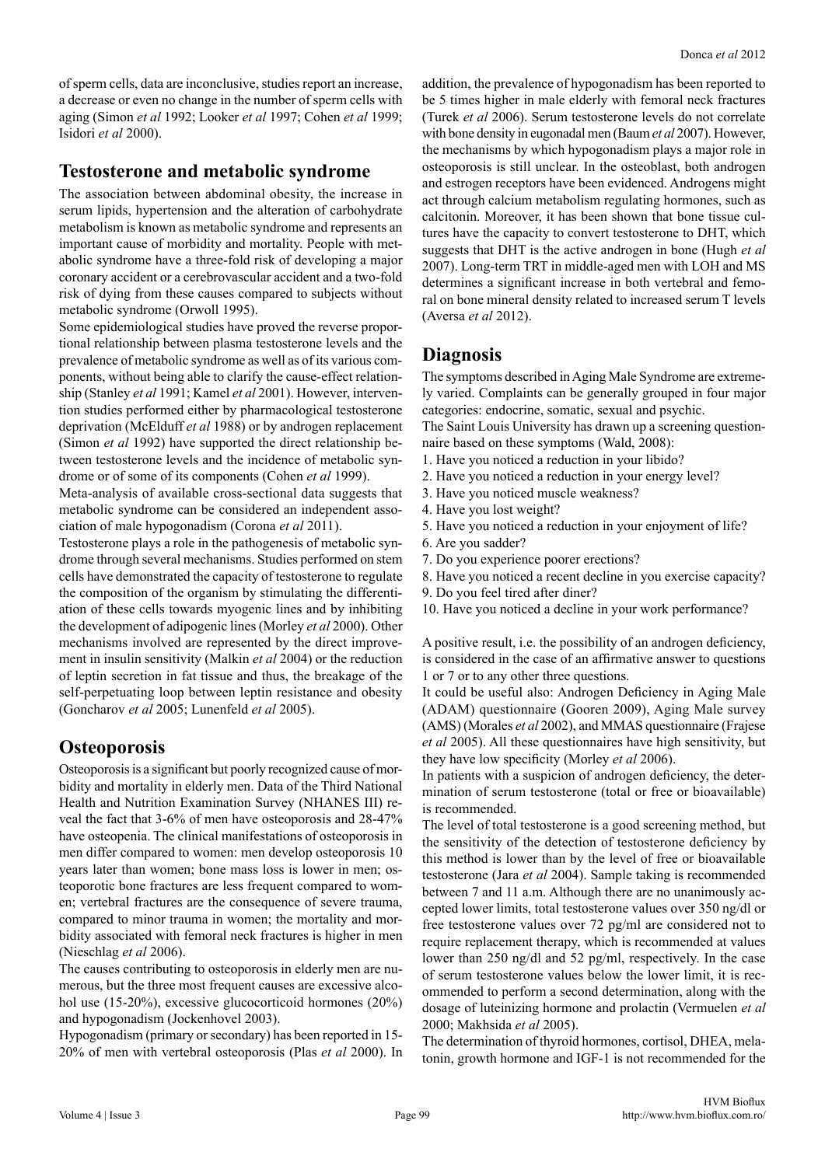of sperm cells, data are inconclusive, studies report an increase, a decrease or even no change in the number of sperm cells with aging (Simon *et al* 1992; Looker *et al* 1997; Cohen *et al* 1999; Isidori *et al* 2000).

#### **Testosterone and metabolic syndrome**

The association between abdominal obesity, the increase in serum lipids, hypertension and the alteration of carbohydrate metabolism is known as metabolic syndrome and represents an important cause of morbidity and mortality. People with metabolic syndrome have a three-fold risk of developing a major coronary accident or a cerebrovascular accident and a two-fold risk of dying from these causes compared to subjects without metabolic syndrome (Orwoll 1995).

Some epidemiological studies have proved the reverse proportional relationship between plasma testosterone levels and the prevalence of metabolic syndrome as well as of its various components, without being able to clarify the cause-effect relationship (Stanley *et al* 1991; Kamel *et al* 2001). However, intervention studies performed either by pharmacological testosterone deprivation (McElduff *et al* 1988) or by androgen replacement (Simon *et al* 1992) have supported the direct relationship between testosterone levels and the incidence of metabolic syndrome or of some of its components (Cohen *et al* 1999).

Meta-analysis of available cross-sectional data suggests that metabolic syndrome can be considered an independent association of male hypogonadism (Corona *et al* 2011).

Testosterone plays a role in the pathogenesis of metabolic syndrome through several mechanisms. Studies performed on stem cells have demonstrated the capacity of testosterone to regulate the composition of the organism by stimulating the differentiation of these cells towards myogenic lines and by inhibiting the development of adipogenic lines (Morley *et al* 2000). Other mechanisms involved are represented by the direct improvement in insulin sensitivity (Malkin *et al* 2004) or the reduction of leptin secretion in fat tissue and thus, the breakage of the self-perpetuating loop between leptin resistance and obesity (Goncharov *et al* 2005; Lunenfeld *et al* 2005).

## **Osteoporosis**

Osteoporosis is a significant but poorly recognized cause of morbidity and mortality in elderly men. Data of the Third National Health and Nutrition Examination Survey (NHANES III) reveal the fact that 3-6% of men have osteoporosis and 28-47% have osteopenia. The clinical manifestations of osteoporosis in men differ compared to women: men develop osteoporosis 10 years later than women; bone mass loss is lower in men; osteoporotic bone fractures are less frequent compared to women; vertebral fractures are the consequence of severe trauma, compared to minor trauma in women; the mortality and morbidity associated with femoral neck fractures is higher in men (Nieschlag *et al* 2006).

The causes contributing to osteoporosis in elderly men are numerous, but the three most frequent causes are excessive alcohol use (15-20%), excessive glucocorticoid hormones (20%) and hypogonadism (Jockenhovel 2003).

Hypogonadism (primary or secondary) has been reported in 15- 20% of men with vertebral osteoporosis (Plas *et al* 2000). In addition, the prevalence of hypogonadism has been reported to be 5 times higher in male elderly with femoral neck fractures (Turek *et al* 2006). Serum testosterone levels do not correlate with bone density in eugonadal men (Baum *et al* 2007). However, the mechanisms by which hypogonadism plays a major role in osteoporosis is still unclear. In the osteoblast, both androgen and estrogen receptors have been evidenced. Androgens might act through calcium metabolism regulating hormones, such as calcitonin. Moreover, it has been shown that bone tissue cultures have the capacity to convert testosterone to DHT, which suggests that DHT is the active androgen in bone (Hugh *et al* 2007). Long-term TRT in middle-aged men with LOH and MS determines a significant increase in both vertebral and femoral on bone mineral density related to increased serum T levels (Aversa *et al* 2012).

# **Diagnosis**

The symptoms described in Aging Male Syndrome are extremely varied. Complaints can be generally grouped in four major categories: endocrine, somatic, sexual and psychic.

The Saint Louis University has drawn up a screening questionnaire based on these symptoms (Wald, 2008):

- 1. Have you noticed a reduction in your libido?
- 2. Have you noticed a reduction in your energy level?
- 3. Have you noticed muscle weakness?
- 4. Have you lost weight?
- 5. Have you noticed a reduction in your enjoyment of life?
- 6. Are you sadder?
- 7. Do you experience poorer erections?
- 8. Have you noticed a recent decline in you exercise capacity?
- 9. Do you feel tired after diner?
- 10. Have you noticed a decline in your work performance?

A positive result, i.e. the possibility of an androgen deficiency, is considered in the case of an affirmative answer to questions 1 or 7 or to any other three questions.

It could be useful also: Androgen Deficiency in Aging Male (ADAM) questionnaire (Gooren 2009), Aging Male survey (AMS) (Morales *et al* 2002), and MMAS questionnaire (Frajese *et al* 2005). All these questionnaires have high sensitivity, but they have low specificity (Morley *et al* 2006).

In patients with a suspicion of androgen deficiency, the determination of serum testosterone (total or free or bioavailable) is recommended.

The level of total testosterone is a good screening method, but the sensitivity of the detection of testosterone deficiency by this method is lower than by the level of free or bioavailable testosterone (Jara *et al* 2004). Sample taking is recommended between 7 and 11 a.m. Although there are no unanimously accepted lower limits, total testosterone values over 350 ng/dl or free testosterone values over 72 pg/ml are considered not to require replacement therapy, which is recommended at values lower than 250 ng/dl and 52 pg/ml, respectively. In the case of serum testosterone values below the lower limit, it is recommended to perform a second determination, along with the dosage of luteinizing hormone and prolactin (Vermuelen *et al* 2000; Makhsida *et al* 2005).

The determination of thyroid hormones, cortisol, DHEA, melatonin, growth hormone and IGF-1 is not recommended for the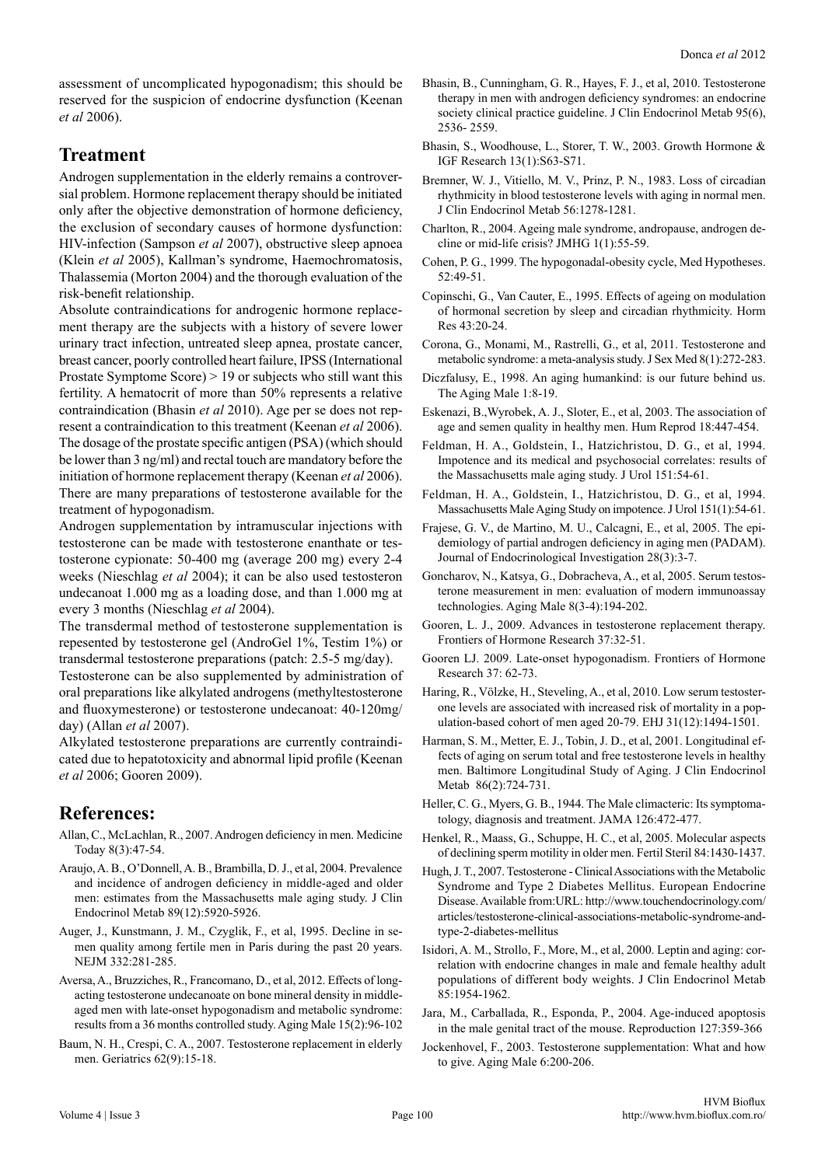assessment of uncomplicated hypogonadism; this should be reserved for the suspicion of endocrine dysfunction (Keenan *et al* 2006).

## **Treatment**

Androgen supplementation in the elderly remains a controversial problem. Hormone replacement therapy should be initiated only after the objective demonstration of hormone deficiency, the exclusion of secondary causes of hormone dysfunction: HIV-infection (Sampson *et al* 2007), obstructive sleep apnoea (Klein *et al* 2005), Kallman's syndrome, Haemochromatosis, Thalassemia (Morton 2004) and the thorough evaluation of the risk-benefit relationship.

Absolute contraindications for androgenic hormone replacement therapy are the subjects with a history of severe lower urinary tract infection, untreated sleep apnea, prostate cancer, breast cancer, poorly controlled heart failure, IPSS (International Prostate Symptome Score) > 19 or subjects who still want this fertility. A hematocrit of more than 50% represents a relative contraindication (Bhasin *et al* 2010). Age per se does not represent a contraindication to this treatment (Keenan *et al* 2006). The dosage of the prostate specific antigen (PSA) (which should be lower than 3 ng/ml) and rectal touch are mandatory before the initiation of hormone replacement therapy (Keenan *et al* 2006). There are many preparations of testosterone available for the treatment of hypogonadism.

Androgen supplementation by intramuscular injections with testosterone can be made with testosterone enanthate or testosterone cypionate: 50-400 mg (average 200 mg) every 2-4 weeks (Nieschlag *et al* 2004); it can be also used testosteron undecanoat 1.000 mg as a loading dose, and than 1.000 mg at every 3 months (Nieschlag *et al* 2004).

The transdermal method of testosterone supplementation is repesented by testosterone gel (AndroGel 1%, Testim 1%) or transdermal testosterone preparations (patch: 2.5-5 mg/day).

Testosterone can be also supplemented by administration of oral preparations like alkylated androgens (methyltestosterone and fluoxymesterone) or testosterone undecanoat: 40-120mg/ day) (Allan *et al* 2007).

Alkylated testosterone preparations are currently contraindicated due to hepatotoxicity and abnormal lipid profile (Keenan *et al* 2006; Gooren 2009).

#### **References:**

- Allan, C., McLachlan, R., 2007. Androgen deficiency in men. Medicine Today 8(3):47-54.
- Araujo, A. B., O'Donnell, A. B., Brambilla, D. J., et al, 2004. Prevalence and incidence of androgen deficiency in middle-aged and older men: estimates from the Massachusetts male aging study. J Clin Endocrinol Metab 89(12):5920-5926.
- Auger, J., Kunstmann, J. M., Czyglik, F., et al, 1995. Decline in semen quality among fertile men in Paris during the past 20 years. NEJM 332:281-285.
- Aversa, A., Bruzziches, R., Francomano, D., et al, 2012. Effects of longacting testosterone undecanoate on bone mineral density in middleaged men with late-onset hypogonadism and metabolic syndrome: results from a 36 months controlled study. Aging Male 15(2):96-102
- Baum, N. H., Crespi, C. A., 2007. Testosterone replacement in elderly men. Geriatrics 62(9):15-18.
- Bhasin, B., Cunningham, G. R., Hayes, F. J., et al, 2010. Testosterone therapy in men with androgen deficiency syndromes: an endocrine society clinical practice guideline. J Clin Endocrinol Metab 95(6), 2536- 2559.
- Bhasin, S., Woodhouse, L., Storer, T. W., 2003. Growth Hormone & IGF Research 13(1):S63-S71.
- Bremner, W. J., Vitiello, M. V., Prinz, P. N., 1983. Loss of circadian rhythmicity in blood testosterone levels with aging in normal men. J Clin Endocrinol Metab 56:1278-1281.
- Charlton, R., 2004. Ageing male syndrome, andropause, androgen decline or mid-life crisis? JMHG 1(1):55-59.
- Cohen, P. G., 1999. The hypogonadal-obesity cycle, Med Hypotheses. 52:49-51.
- Copinschi, G., Van Cauter, E., 1995. Effects of ageing on modulation of hormonal secretion by sleep and circadian rhythmicity. Horm Res 43:20-24.
- Corona, G., Monami, M., Rastrelli, G., et al, 2011. Testosterone and metabolic syndrome: a meta-analysis study. J Sex Med 8(1):272-283.
- Diczfalusy, E., 1998. An aging humankind: is our future behind us. The Aging Male 1:8-19.
- Eskenazi, B.,Wyrobek, A. J., Sloter, E., et al, 2003. The association of age and semen quality in healthy men. Hum Reprod 18:447-454.
- Feldman, H. A., Goldstein, I., Hatzichristou, D. G., et al, 1994. Impotence and its medical and psychosocial correlates: results of the Massachusetts male aging study. J Urol 151:54-61.
- Feldman, H. A., Goldstein, I., Hatzichristou, D. G., et al, 1994. Massachusetts Male Aging Study on impotence. J Urol 151(1):54-61.
- Frajese, G. V., de Martino, M. U., Calcagni, E., et al, 2005. The epidemiology of partial androgen deficiency in aging men (PADAM). Journal of Endocrinological Investigation 28(3):3-7.
- Goncharov, N., Katsya, G., Dobracheva, A., et al, 2005. Serum testosterone measurement in men: evaluation of modern immunoassay technologies. Aging Male 8(3-4):194-202.
- Gooren, L. J., 2009. Advances in testosterone replacement therapy. Frontiers of Hormone Research 37:32-51.
- Gooren LJ. 2009. Late-onset hypogonadism. Frontiers of Hormone Research 37: 62-73.
- Haring, R., Völzke, H., Steveling, A., et al, 2010. Low serum testosterone levels are associated with increased risk of mortality in a population-based cohort of men aged 20-79. EHJ 31(12):1494-1501.
- Harman, S. M., Metter, E. J., Tobin, J. D., et al, 2001. Longitudinal effects of aging on serum total and free testosterone levels in healthy men. Baltimore Longitudinal Study of Aging. J Clin Endocrinol Metab 86(2):724-731.
- Heller, C. G., Myers, G. B., 1944. The Male climacteric: Its symptomatology, diagnosis and treatment. JAMA 126:472-477.
- Henkel, R., Maass, G., Schuppe, H. C., et al, 2005. Molecular aspects of declining sperm motility in older men. Fertil Steril 84:1430-1437.
- Hugh, J. T., 2007. Testosterone Clinical Associations with the Metabolic Syndrome and Type 2 Diabetes Mellitus. European Endocrine Disease. Available from:URL: http://www.touchendocrinology.com/ articles/testosterone-clinical-associations-metabolic-syndrome-andtype-2-diabetes-mellitus
- Isidori, A. M., Strollo, F., More, M., et al, 2000. Leptin and aging: correlation with endocrine changes in male and female healthy adult populations of different body weights. J Clin Endocrinol Metab 85:1954-1962.
- Jara, M., Carballada, R., Esponda, P., 2004. Age-induced apoptosis in the male genital tract of the mouse. Reproduction 127:359-366
- Jockenhovel, F., 2003. Testosterone supplementation: What and how to give. Aging Male 6:200-206.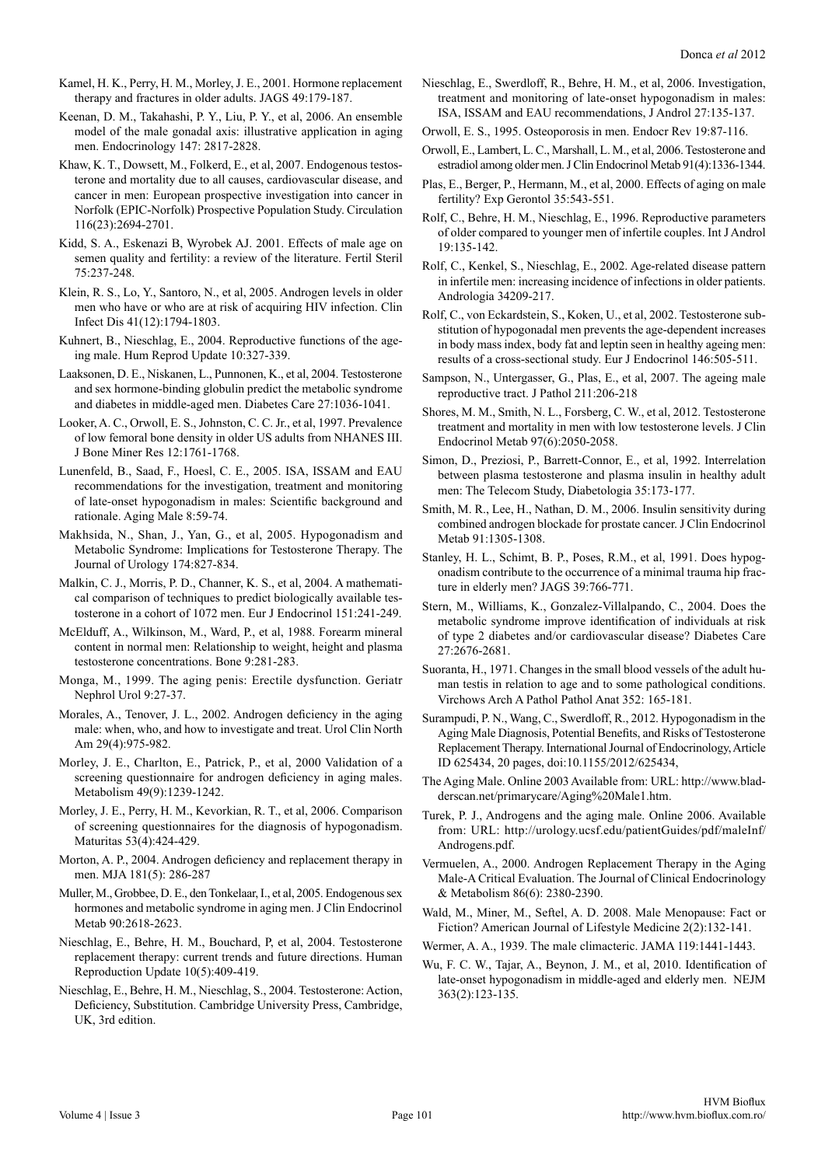- Kamel, H. K., Perry, H. M., Morley, J. E., 2001. Hormone replacement therapy and fractures in older adults. JAGS 49:179-187.
- Keenan, D. M., Takahashi, P. Y., Liu, P. Y., et al, 2006. An ensemble model of the male gonadal axis: illustrative application in aging men. Endocrinology 147: 2817-2828.
- Khaw, K. T., Dowsett, M., Folkerd, E., et al, 2007. Endogenous testosterone and mortality due to all causes, cardiovascular disease, and cancer in men: European prospective investigation into cancer in Norfolk (EPIC-Norfolk) Prospective Population Study. Circulation 116(23):2694-2701.
- Kidd, S. A., Eskenazi B, Wyrobek AJ. 2001. Effects of male age on semen quality and fertility: a review of the literature. Fertil Steril 75:237-248.
- Klein, R. S., Lo, Y., Santoro, N., et al, 2005. Androgen levels in older men who have or who are at risk of acquiring HIV infection. Clin Infect Dis 41(12):1794-1803.
- Kuhnert, B., Nieschlag, E., 2004. Reproductive functions of the ageing male. Hum Reprod Update 10:327-339.
- Laaksonen, D. E., Niskanen, L., Punnonen, K., et al, 2004. Testosterone and sex hormone-binding globulin predict the metabolic syndrome and diabetes in middle-aged men. Diabetes Care 27:1036-1041.
- Looker, A. C., Orwoll, E. S., Johnston, C. C. Jr., et al, 1997. Prevalence of low femoral bone density in older US adults from NHANES III. J Bone Miner Res 12:1761-1768.
- Lunenfeld, B., Saad, F., Hoesl, C. E., 2005. ISA, ISSAM and EAU recommendations for the investigation, treatment and monitoring of late-onset hypogonadism in males: Scientific background and rationale. Aging Male 8:59-74.
- Makhsida, N., Shan, J., Yan, G., et al, 2005. Hypogonadism and Metabolic Syndrome: Implications for Testosterone Therapy. The Journal of Urology 174:827-834.
- Malkin, C. J., Morris, P. D., Channer, K. S., et al, 2004. A mathematical comparison of techniques to predict biologically available testosterone in a cohort of 1072 men. Eur J Endocrinol 151:241-249.
- McElduff, A., Wilkinson, M., Ward, P., et al, 1988. Forearm mineral content in normal men: Relationship to weight, height and plasma testosterone concentrations. Bone 9:281-283.
- Monga, M., 1999. The aging penis: Erectile dysfunction. Geriatr Nephrol Urol 9:27-37.
- Morales, A., Tenover, J. L., 2002. Androgen deficiency in the aging male: when, who, and how to investigate and treat. Urol Clin North Am 29(4):975-982.
- Morley, J. E., Charlton, E., Patrick, P., et al, 2000 Validation of a screening questionnaire for androgen deficiency in aging males. Metabolism 49(9):1239-1242.
- Morley, J. E., Perry, H. M., Kevorkian, R. T., et al, 2006. Comparison of screening questionnaires for the diagnosis of hypogonadism. Maturitas 53(4):424-429.
- Morton, A. P., 2004. Androgen deficiency and replacement therapy in men. MJA 181(5): 286-287
- Muller, M., Grobbee, D. E., den Tonkelaar, I., et al, 2005. Endogenous sex hormones and metabolic syndrome in aging men. J Clin Endocrinol Metab 90:2618-2623.
- Nieschlag, E., Behre, H. M., Bouchard, P, et al, 2004. Testosterone replacement therapy: current trends and future directions. Human Reproduction Update 10(5):409-419.
- Nieschlag, E., Behre, H. M., Nieschlag, S., 2004. Testosterone: Action, Deficiency, Substitution. Cambridge University Press, Cambridge, UK, 3rd edition.
- Nieschlag, E., Swerdloff, R., Behre, H. M., et al, 2006. Investigation, treatment and monitoring of late-onset hypogonadism in males: ISA, ISSAM and EAU recommendations, J Androl 27:135-137.
- Orwoll, E. S., 1995. Osteoporosis in men. Endocr Rev 19:87-116.
- Orwoll, E., Lambert, L. C., Marshall, L. M., et al, 2006. Testosterone and estradiol among older men. J Clin Endocrinol Metab 91(4):1336-1344.
- Plas, E., Berger, P., Hermann, M., et al, 2000. Effects of aging on male fertility? Exp Gerontol 35:543-551.
- Rolf, C., Behre, H. M., Nieschlag, E., 1996. Reproductive parameters of older compared to younger men of infertile couples. Int J Androl 19:135-142.
- Rolf, C., Kenkel, S., Nieschlag, E., 2002. Age-related disease pattern in infertile men: increasing incidence of infections in older patients. Andrologia 34209-217.
- Rolf, C., von Eckardstein, S., Koken, U., et al, 2002. Testosterone substitution of hypogonadal men prevents the age-dependent increases in body mass index, body fat and leptin seen in healthy ageing men: results of a cross-sectional study. Eur J Endocrinol 146:505-511.
- Sampson, N., Untergasser, G., Plas, E., et al, 2007. The ageing male reproductive tract. J Pathol 211:206-218
- Shores, M. M., Smith, N. L., Forsberg, C. W., et al, 2012. Testosterone treatment and mortality in men with low testosterone levels. J Clin Endocrinol Metab 97(6):2050-2058.
- Simon, D., Preziosi, P., Barrett-Connor, E., et al, 1992. Interrelation between plasma testosterone and plasma insulin in healthy adult men: The Telecom Study, Diabetologia 35:173-177.
- Smith, M. R., Lee, H., Nathan, D. M., 2006. Insulin sensitivity during combined androgen blockade for prostate cancer. J Clin Endocrinol Metab 91:1305-1308.
- Stanley, H. L., Schimt, B. P., Poses, R.M., et al, 1991. Does hypogonadism contribute to the occurrence of a minimal trauma hip fracture in elderly men? JAGS 39:766-771.
- Stern, M., Williams, K., Gonzalez-Villalpando, C., 2004. Does the metabolic syndrome improve identification of individuals at risk of type 2 diabetes and/or cardiovascular disease? Diabetes Care 27:2676-2681.
- Suoranta, H., 1971. Changes in the small blood vessels of the adult human testis in relation to age and to some pathological conditions. Virchows Arch A Pathol Pathol Anat 352: 165-181.
- Surampudi, P. N., Wang, C., Swerdloff, R., 2012. Hypogonadism in the Aging Male Diagnosis, Potential Benefits, and Risks of Testosterone Replacement Therapy. International Journal of Endocrinology, Article ID 625434, 20 pages, doi:10.1155/2012/625434,
- The Aging Male. Online 2003 Available from: URL: http://www.bladderscan.net/primarycare/Aging%20Male1.htm.
- Turek, P. J., Androgens and the aging male. Online 2006. Available from: URL: http://urology.ucsf.edu/patientGuides/pdf/maleInf/ Androgens.pdf.
- Vermuelen, A., 2000. Androgen Replacement Therapy in the Aging Male-A Critical Evaluation. The Journal of Clinical Endocrinology & Metabolism 86(6): 2380-2390.
- Wald, M., Miner, M., Seftel, A. D. 2008. Male Menopause: Fact or Fiction? American Journal of Lifestyle Medicine 2(2):132-141.
- Wermer, A. A., 1939. The male climacteric. JAMA 119:1441-1443.
- Wu, F. C. W., Tajar, A., Beynon, J. M., et al, 2010. Identification of late-onset hypogonadism in middle-aged and elderly men. NEJM 363(2):123-135.